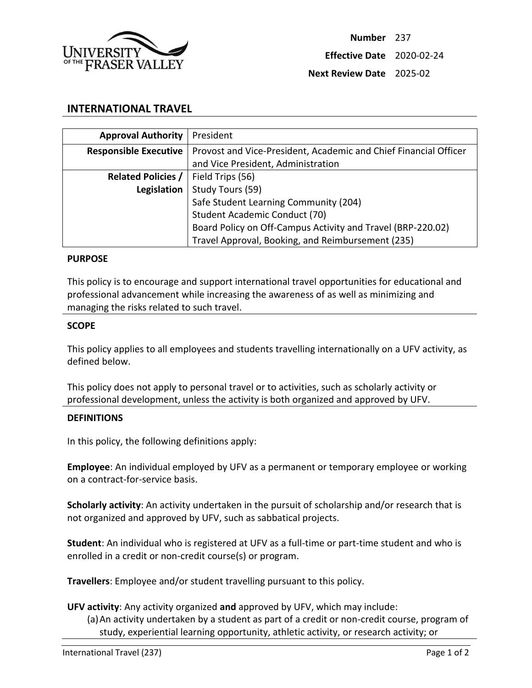

## **INTERNATIONAL TRAVEL**

| <b>Approval Authority</b>    | President                                                        |
|------------------------------|------------------------------------------------------------------|
| <b>Responsible Executive</b> | Provost and Vice-President, Academic and Chief Financial Officer |
|                              | and Vice President, Administration                               |
| <b>Related Policies /</b>    | Field Trips (56)                                                 |
| Legislation                  | Study Tours (59)                                                 |
|                              | Safe Student Learning Community (204)                            |
|                              | Student Academic Conduct (70)                                    |
|                              | Board Policy on Off-Campus Activity and Travel (BRP-220.02)      |
|                              | Travel Approval, Booking, and Reimbursement (235)                |

### **PURPOSE**

This policy is to encourage and support international travel opportunities for educational and professional advancement while increasing the awareness of as well as minimizing and managing the risks related to such travel.

#### **SCOPE**

This policy applies to all employees and students travelling internationally on a UFV activity, as defined below.

This policy does not apply to personal travel or to activities, such as scholarly activity or professional development, unless the activity is both organized and approved by UFV.

### **DEFINITIONS**

In this policy, the following definitions apply:

**Employee**: An individual employed by UFV as a permanent or temporary employee or working on a contract-for-service basis.

**Scholarly activity**: An activity undertaken in the pursuit of scholarship and/or research that is not organized and approved by UFV, such as sabbatical projects.

**Student**: An individual who is registered at UFV as a full-time or part-time student and who is enrolled in a credit or non-credit course(s) or program.

**Travellers**: Employee and/or student travelling pursuant to this policy.

### **UFV activity**: Any activity organized **and** approved by UFV, which may include:

(a)An activity undertaken by a student as part of a credit or non-credit course, program of study, experiential learning opportunity, athletic activity, or research activity; or